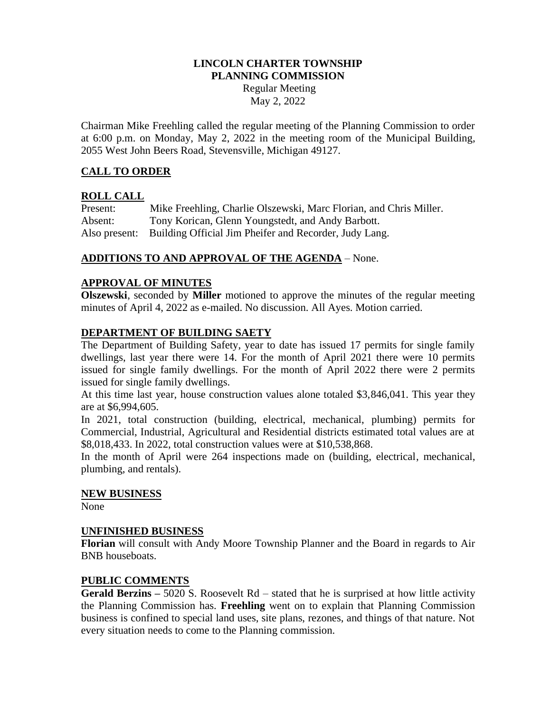#### **LINCOLN CHARTER TOWNSHIP PLANNING COMMISSION**

Regular Meeting May 2, 2022

Chairman Mike Freehling called the regular meeting of the Planning Commission to order at 6:00 p.m. on Monday, May 2, 2022 in the meeting room of the Municipal Building, 2055 West John Beers Road, Stevensville, Michigan 49127.

# **CALL TO ORDER**

## **ROLL CALL**

Present: Mike Freehling, Charlie Olszewski, Marc Florian, and Chris Miller. Absent: Tony Korican, Glenn Youngstedt, and Andy Barbott. Also present: Building Official Jim Pheifer and Recorder, Judy Lang.

## **ADDITIONS TO AND APPROVAL OF THE AGENDA** – None.

## **APPROVAL OF MINUTES**

**Olszewski**, seconded by **Miller** motioned to approve the minutes of the regular meeting minutes of April 4, 2022 as e-mailed. No discussion. All Ayes. Motion carried.

#### **DEPARTMENT OF BUILDING SAETY**

The Department of Building Safety, year to date has issued 17 permits for single family dwellings, last year there were 14. For the month of April 2021 there were 10 permits issued for single family dwellings. For the month of April 2022 there were 2 permits issued for single family dwellings.

At this time last year, house construction values alone totaled \$3,846,041. This year they are at \$6,994,605.

In 2021, total construction (building, electrical, mechanical, plumbing) permits for Commercial, Industrial, Agricultural and Residential districts estimated total values are at \$8,018,433. In 2022, total construction values were at \$10,538,868.

In the month of April were 264 inspections made on (building, electrical, mechanical, plumbing, and rentals).

#### **NEW BUSINESS**

None

#### **UNFINISHED BUSINESS**

**Florian** will consult with Andy Moore Township Planner and the Board in regards to Air BNB houseboats.

#### **PUBLIC COMMENTS**

**Gerald Berzins –** 5020 S. Roosevelt Rd – stated that he is surprised at how little activity the Planning Commission has. **Freehling** went on to explain that Planning Commission business is confined to special land uses, site plans, rezones, and things of that nature. Not every situation needs to come to the Planning commission.